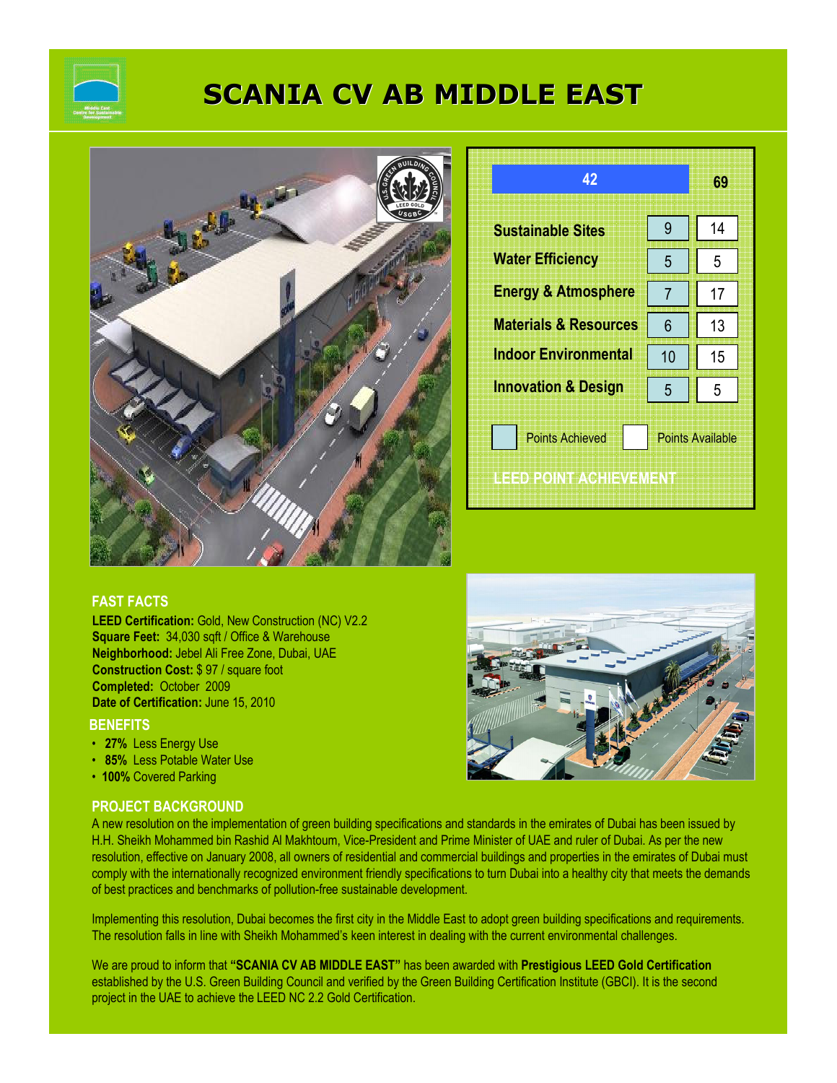

# SCANIA CV AB MIDDLE EAST



| 42                                               |                         | 69 |
|--------------------------------------------------|-------------------------|----|
| <b>Sustainable Sites</b>                         | 9                       | 14 |
| <b>Water Efficiency</b>                          | 5                       | 5  |
| <b>Energy &amp; Atmosphere</b>                   | $\overline{7}$          | 17 |
| <b>Materials &amp; Resources</b>                 | 6                       | 13 |
| <b>Indoor Environmental</b>                      | 10                      | 15 |
| <b>Innovation &amp; Design</b>                   | 5                       | 5  |
| <b>Points Achieved</b><br>IEED POINT ACTIEVEMENT | <b>Points Available</b> |    |

### FAST FACTS

LEED Certification: Gold, New Construction (NC) V2.2 Square Feet: 34,030 sqft / Office & Warehouse Neighborhood: Jebel Ali Free Zone, Dubai, UAE Construction Cost: \$ 97 / square foot Completed: October 2009 Date of Certification: June 15, 2010

#### **BENEFITS**

- 27% Less Energy Use
- 85% Less Potable Water Use
- 100% Covered Parking

#### PROJECT BACKGROUND



Implementing this resolution, Dubai becomes the first city in the Middle East to adopt green building specifications and requirements. The resolution falls in line with Sheikh Mohammed's keen interest in dealing with the current environmental challenges.

We are proud to inform that "SCANIA CV AB MIDDLE EAST" has been awarded with Prestigious LEED Gold Certification established by the U.S. Green Building Council and verified by the Green Building Certification Institute (GBCI). It is the second project in the UAE to achieve the LEED NC 2.2 Gold Certification.